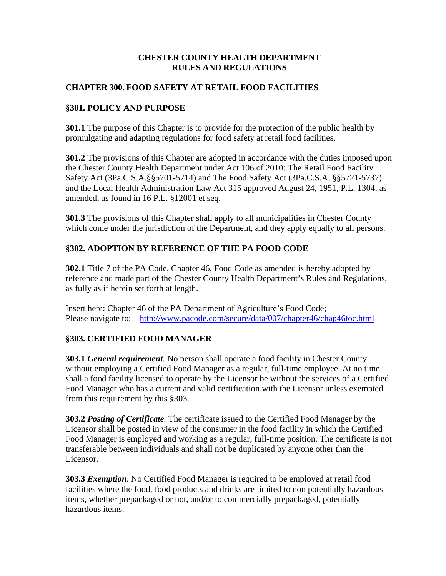#### **CHESTER COUNTY HEALTH DEPARTMENT RULES AND REGULATIONS**

#### **CHAPTER 300. FOOD SAFETY AT RETAIL FOOD FACILITIES**

#### **§301. POLICY AND PURPOSE**

**301.1** The purpose of this Chapter is to provide for the protection of the public health by promulgating and adapting regulations for food safety at retail food facilities.

**301.2** The provisions of this Chapter are adopted in accordance with the duties imposed upon the Chester County Health Department under Act 106 of 2010: The Retail Food Facility Safety Act (3Pa.C.S.A.§§5701-5714) and The Food Safety Act (3Pa.C.S.A. §§5721-5737) and the Local Health Administration Law Act 315 approved August 24, 1951, P.L. 1304, as amended, as found in 16 P.L. §12001 et seq.

**301.3** The provisions of this Chapter shall apply to all municipalities in Chester County which come under the jurisdiction of the Department, and they apply equally to all persons.

# **§302. ADOPTION BY REFERENCE OF THE PA FOOD CODE**

**302.1** Title 7 of the PA Code, Chapter 46, Food Code as amended is hereby adopted by reference and made part of the Chester County Health Department's Rules and Regulations, as fully as if herein set forth at length.

Insert here: Chapter 46 of the PA Department of Agriculture's Food Code; Please navigate to: <http://www.pacode.com/secure/data/007/chapter46/chap46toc.html>

# **§303. CERTIFIED FOOD MANAGER**

**303.1** *General requirement.* No person shall operate a food facility in Chester County without employing a Certified Food Manager as a regular, full-time employee. At no time shall a food facility licensed to operate by the Licensor be without the services of a Certified Food Manager who has a current and valid certification with the Licensor unless exempted from this requirement by this §303.

**303.2** *Posting of Certificate.* The certificate issued to the Certified Food Manager by the Licensor shall be posted in view of the consumer in the food facility in which the Certified Food Manager is employed and working as a regular, full-time position. The certificate is not transferable between individuals and shall not be duplicated by anyone other than the Licensor.

**303.3** *Exemption.* No Certified Food Manager is required to be employed at retail food facilities where the food, food products and drinks are limited to non potentially hazardous items, whether prepackaged or not, and/or to commercially prepackaged, potentially hazardous items.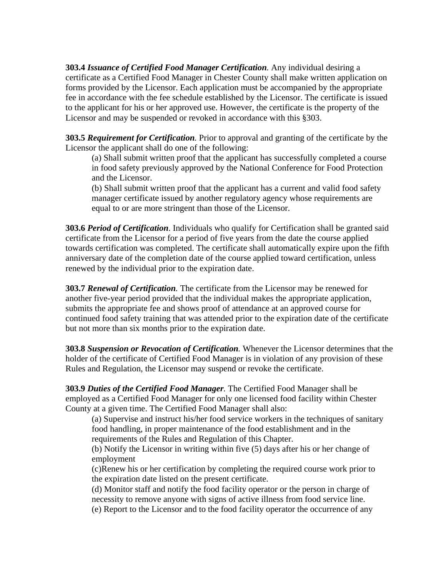**303.4** *Issuance of Certified Food Manager Certification.* Any individual desiring a certificate as a Certified Food Manager in Chester County shall make written application on forms provided by the Licensor. Each application must be accompanied by the appropriate fee in accordance with the fee schedule established by the Licensor. The certificate is issued to the applicant for his or her approved use. However, the certificate is the property of the Licensor and may be suspended or revoked in accordance with this §303.

**303.5** *Requirement for Certification.* Prior to approval and granting of the certificate by the Licensor the applicant shall do one of the following:

(a) Shall submit written proof that the applicant has successfully completed a course in food safety previously approved by the National Conference for Food Protection and the Licensor.

(b) Shall submit written proof that the applicant has a current and valid food safety manager certificate issued by another regulatory agency whose requirements are equal to or are more stringent than those of the Licensor.

**303.6** *Period of Certification*. Individuals who qualify for Certification shall be granted said certificate from the Licensor for a period of five years from the date the course applied towards certification was completed. The certificate shall automatically expire upon the fifth anniversary date of the completion date of the course applied toward certification, unless renewed by the individual prior to the expiration date.

**303.7** *Renewal of Certification.* The certificate from the Licensor may be renewed for another five-year period provided that the individual makes the appropriate application, submits the appropriate fee and shows proof of attendance at an approved course for continued food safety training that was attended prior to the expiration date of the certificate but not more than six months prior to the expiration date.

**303.8** *Suspension or Revocation of Certification.* Whenever the Licensor determines that the holder of the certificate of Certified Food Manager is in violation of any provision of these Rules and Regulation, the Licensor may suspend or revoke the certificate.

**303.9** *Duties of the Certified Food Manager.* The Certified Food Manager shall be employed as a Certified Food Manager for only one licensed food facility within Chester County at a given time. The Certified Food Manager shall also:

(a) Supervise and instruct his/her food service workers in the techniques of sanitary food handling, in proper maintenance of the food establishment and in the requirements of the Rules and Regulation of this Chapter.

(b) Notify the Licensor in writing within five (5) days after his or her change of employment

(c)Renew his or her certification by completing the required course work prior to the expiration date listed on the present certificate.

(d) Monitor staff and notify the food facility operator or the person in charge of necessity to remove anyone with signs of active illness from food service line.

(e) Report to the Licensor and to the food facility operator the occurrence of any